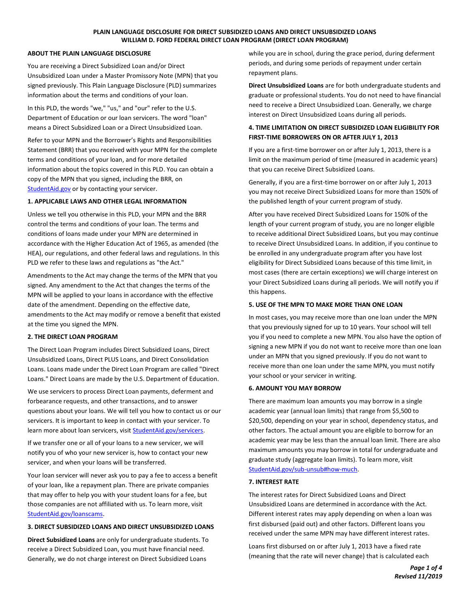# **PLAIN LANGUAGE DISCLOSURE FOR DIRECT SUBSIDIZED LOANS AND DIRECT UNSUBSIDIZED LOANS WILLIAM D. FORD FEDERAL DIRECT LOAN PROGRAM (DIRECT LOAN PROGRAM)**

### **ABOUT THE PLAIN LANGUAGE DISCLOSURE**

You are receiving a Direct Subsidized Loan and/or Direct Unsubsidized Loan under a Master Promissory Note (MPN) that you signed previously. This Plain Language Disclosure (PLD) summarizes information about the terms and conditions of your loan.

In this PLD, the words "we," "us," and "our" refer to the U.S. Department of Education or our loan servicers. The word "loan" means a Direct Subsidized Loan or a Direct Unsubsidized Loan.

Refer to your MPN and the Borrower's Rights and Responsibilities Statement (BRR) that you received with your MPN for the complete terms and conditions of your loan, and for more detailed information about the topics covered in this PLD. You can obtain a copy of the MPN that you signed, including the BRR, on [StudentAid.gov](https://studentaid.gov/) or by contacting your servicer.

# **1. APPLICABLE LAWS AND OTHER LEGAL INFORMATION**

Unless we tell you otherwise in this PLD, your MPN and the BRR control the terms and conditions of your loan. The terms and conditions of loans made under your MPN are determined in accordance with the Higher Education Act of 1965, as amended (the HEA), our regulations, and other federal laws and regulations. In this PLD we refer to these laws and regulations as "the Act."

Amendments to the Act may change the terms of the MPN that you signed. Any amendment to the Act that changes the terms of the MPN will be applied to your loans in accordance with the effective date of the amendment. Depending on the effective date, amendments to the Act may modify or remove a benefit that existed at the time you signed the MPN.

# **2. THE DIRECT LOAN PROGRAM**

The Direct Loan Program includes Direct Subsidized Loans, Direct Unsubsidized Loans, Direct PLUS Loans, and Direct Consolidation Loans. Loans made under the Direct Loan Program are called "Direct Loans." Direct Loans are made by the U.S. Department of Education.

We use servicers to process Direct Loan payments, deferment and forbearance requests, and other transactions, and to answer questions about your loans. We will tell you how to contact us or our servicers. It is important to keep in contact with your servicer. To learn more about loan servicers, visit **StudentAid.gov/servicers.** 

If we transfer one or all of your loans to a new servicer, we will notify you of who your new servicer is, how to contact your new servicer, and when your loans will be transferred.

Your loan servicer will never ask you to pay a fee to access a benefit of your loan, like a repayment plan. There are private companies that may offer to help you with your student loans for a fee, but those companies are not affiliated with us. To learn more, visit [StudentAid.gov/loanscams.](https://studentaid.gov/resources/scams)

# **3. DIRECT SUBSIDIZED LOANS AND DIRECT UNSUBSIDIZED LOANS**

**Direct Subsidized Loans** are only for undergraduate students. To receive a Direct Subsidized Loan, you must have financial need. Generally, we do not charge interest on Direct Subsidized Loans

while you are in school, during the grace period, during deferment periods, and during some periods of repayment under certain repayment plans.

**Direct Unsubsidized Loans** are for both undergraduate students and graduate or professional students. You do not need to have financial need to receive a Direct Unsubsidized Loan. Generally, we charge interest on Direct Unsubsidized Loans during all periods.

# **4. TIME LIMITATION ON DIRECT SUBSIDIZED LOAN ELIGIBILITY FOR FIRST-TIME BORROWERS ON OR AFTER JULY 1, 2013**

If you are a first-time borrower on or after July 1, 2013, there is a limit on the maximum period of time (measured in academic years) that you can receive Direct Subsidized Loans.

Generally, if you are a first-time borrower on or after July 1, 2013 you may not receive Direct Subsidized Loans for more than 150% of the published length of your current program of study.

After you have received Direct Subsidized Loans for 150% of the length of your current program of study, you are no longer eligible to receive additional Direct Subsidized Loans, but you may continue to receive Direct Unsubsidized Loans. In addition, if you continue to be enrolled in any undergraduate program after you have lost eligibility for Direct Subsidized Loans because of this time limit, in most cases (there are certain exceptions) we will charge interest on your Direct Subsidized Loans during all periods. We will notify you if this happens.

# **5. USE OF THE MPN TO MAKE MORE THAN ONE LOAN**

In most cases, you may receive more than one loan under the MPN that you previously signed for up to 10 years. Your school will tell you if you need to complete a new MPN. You also have the option of signing a new MPN if you do not want to receive more than one loan under an MPN that you signed previously. If you do not want to receive more than one loan under the same MPN, you must notify your school or your servicer in writing.

# **6. AMOUNT YOU MAY BORROW**

There are maximum loan amounts you may borrow in a single academic year (annual loan limits) that range from \$5,500 to \$20,500, depending on your year in school, dependency status, and other factors. The actual amount you are eligible to borrow for an academic year may be less than the annual loan limit. There are also maximum amounts you may borrow in total for undergraduate and graduate study (aggregate loan limits). To learn more, visit [StudentAid.gov/sub-unsub#how-much.](https://studentaid.gov/understand-aid/types/loans/subsidized-unsubsidized#how-much) 

# **7. INTEREST RATE**

The interest rates for Direct Subsidized Loans and Direct Unsubsidized Loans are determined in accordance with the Act. Different interest rates may apply depending on when a loan was first disbursed (paid out) and other factors. Different loans you received under the same MPN may have different interest rates.

Loans first disbursed on or after July 1, 2013 have a fixed rate (meaning that the rate will never change) that is calculated each

> *Page 1 of 4 Revised 11/2019*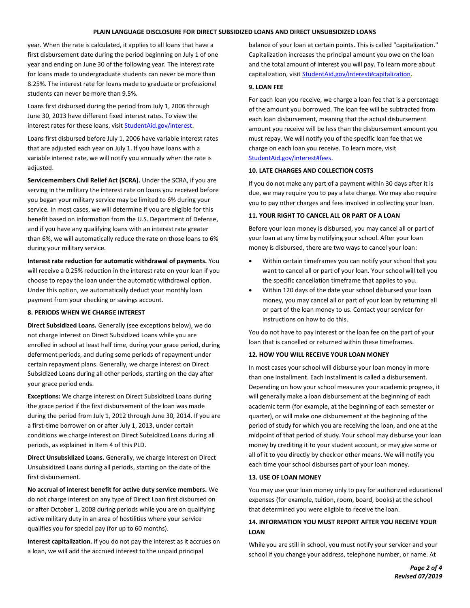#### **PLAIN LANGUAGE DISCLOSURE FOR DIRECT SUBSIDIZED LOANS AND DIRECT UNSUBSIDIZED LOANS**

year. When the rate is calculated, it applies to all loans that have a first disbursement date during the period beginning on July 1 of one year and ending on June 30 of the following year. The interest rate for loans made to undergraduate students can never be more than 8.25%. The interest rate for loans made to graduate or professional students can never be more than 9.5%.

Loans first disbursed during the period from July 1, 2006 through June 30, 2013 have different fixed interest rates. To view the interest rates for these loans, visi[t StudentAid.gov/interest.](https://studentaid.gov/understand-aid/types/loans/interest-rates#older-rates)

Loans first disbursed before July 1, 2006 have variable interest rates that are adjusted each year on July 1. If you have loans with a variable interest rate, we will notify you annually when the rate is adjusted.

**Servicemembers Civil Relief Act (SCRA).** Under the SCRA, if you are serving in the military the interest rate on loans you received before you began your military service may be limited to 6% during your service. In most cases, we will determine if you are eligible for this benefit based on information from the U.S. Department of Defense, and if you have any qualifying loans with an interest rate greater than 6%, we will automatically reduce the rate on those loans to 6% during your military service.

**Interest rate reduction for automatic withdrawal of payments.** You will receive a 0.25% reduction in the interest rate on your loan if you choose to repay the loan under the automatic withdrawal option. Under this option, we automatically deduct your monthly loan payment from your checking or savings account.

#### **8. PERIODS WHEN WE CHARGE INTEREST**

**Direct Subsidized Loans.** Generally (see exceptions below), we do not charge interest on Direct Subsidized Loans while you are enrolled in school at least half time, during your grace period, during deferment periods, and during some periods of repayment under certain repayment plans. Generally, we charge interest on Direct Subsidized Loans during all other periods, starting on the day after your grace period ends.

**Exceptions:** We charge interest on Direct Subsidized Loans during the grace period if the first disbursement of the loan was made during the period from July 1, 2012 through June 30, 2014. If you are a first-time borrower on or after July 1, 2013, under certain conditions we charge interest on Direct Subsidized Loans during all periods, as explained in Item 4 of this PLD.

**Direct Unsubsidized Loans.** Generally, we charge interest on Direct Unsubsidized Loans during all periods, starting on the date of the first disbursement.

**No accrual of interest benefit for active duty service members.** We do not charge interest on any type of Direct Loan first disbursed on or after October 1, 2008 during periods while you are on qualifying active military duty in an area of hostilities where your service qualifies you for special pay (for up to 60 months).

**Interest capitalization.** If you do not pay the interest as it accrues on a loan, we will add the accrued interest to the unpaid principal

balance of your loan at certain points. This is called "capitalization." Capitalization increases the principal amount you owe on the loan and the total amount of interest you will pay. To learn more about capitalization, visit [StudentAid.gov/interest#capitalization.](https://studentaid.gov/understand-aid/types/loans/interest-rates#capitalization)

#### **9. LOAN FEE**

For each loan you receive, we charge a loan fee that is a percentage of the amount you borrowed. The loan fee will be subtracted from each loan disbursement, meaning that the actual disbursement amount you receive will be less than the disbursement amount you must repay. We will notify you of the specific loan fee that we charge on each loan you receive. To learn more, visit [StudentAid.gov/interest#fees.](https://studentaid.gov/understand-aid/types/loans/interest-rates#fees) 

#### **10. LATE CHARGES AND COLLECTION COSTS**

If you do not make any part of a payment within 30 days after it is due, we may require you to pay a late charge. We may also require you to pay other charges and fees involved in collecting your loan.

### **11. YOUR RIGHT TO CANCEL ALL OR PART OF A LOAN**

Before your loan money is disbursed, you may cancel all or part of your loan at any time by notifying your school. After your loan money is disbursed, there are two ways to cancel your loan:

- Within certain timeframes you can notify your school that you want to cancel all or part of your loan. Your school will tell you the specific cancellation timeframe that applies to you.
- Within 120 days of the date your school disbursed your loan money, you may cancel all or part of your loan by returning all or part of the loan money to us. Contact your servicer for instructions on how to do this.

You do not have to pay interest or the loan fee on the part of your loan that is cancelled or returned within these timeframes.

# **12. HOW YOU WILL RECEIVE YOUR LOAN MONEY**

In most cases your school will disburse your loan money in more than one installment. Each installment is called a disbursement. Depending on how your school measures your academic progress, it will generally make a loan disbursement at the beginning of each academic term (for example, at the beginning of each semester or quarter), or will make one disbursement at the beginning of the period of study for which you are receiving the loan, and one at the midpoint of that period of study. Your school may disburse your loan money by crediting it to your student account, or may give some or all of it to you directly by check or other means. We will notify you each time your school disburses part of your loan money.

#### **13. USE OF LOAN MONEY**

You may use your loan money only to pay for authorized educational expenses (for example, tuition, room, board, books) at the school that determined you were eligible to receive the loan.

# **14. INFORMATION YOU MUST REPORT AFTER YOU RECEIVE YOUR LOAN**

While you are still in school, you must notify your servicer and your school if you change your address, telephone number, or name. At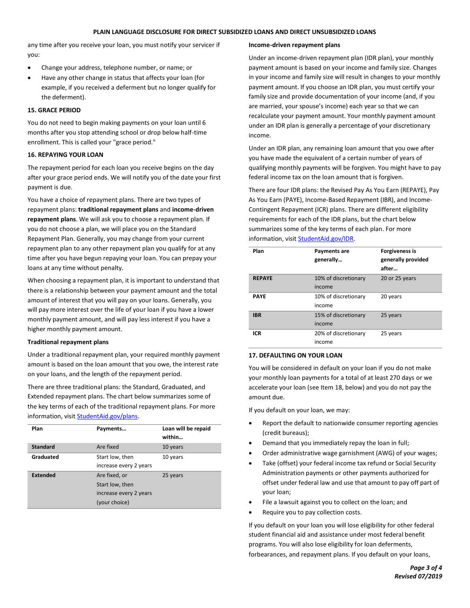#### **PLAIN LANGUAGE DISCLOSURE FOR DIRECT SUBSIDIZED LOANS AND DIRECT UNSUBSIDIZED LOANS**

any time after you receive your loan, you must notify your servicer if you:

- Change your address, telephone number, or name; or
- Have any other change in status that affects your loan (for example, if you received a deferment but no longer qualify for the deferment).

# **15. GRACE PERIOD**

You do not need to begin making payments on your loan until 6 months after you stop attending school or drop below half-time enrollment. This is called your "grace period."

### **16. REPAYING YOUR LOAN**

The repayment period for each loan you receive begins on the day after your grace period ends. We will notify you of the date your first payment is due.

You have a choice of repayment plans. There are two types of repayment plans: **traditional repayment plans** and **income-driven repayment plans**. We will ask you to choose a repayment plan. If you do not choose a plan, we will place you on the Standard Repayment Plan. Generally, you may change from your current repayment plan to any other repayment plan you qualify for at any time after you have begun repaying your loan. You can prepay your loans at any time without penalty.

When choosing a repayment plan, it is important to understand that there is a relationship between your payment amount and the total amount of interest that you will pay on your loans. Generally, you will pay more interest over the life of your loan if you have a lower monthly payment amount, and will pay less interest if you have a higher monthly payment amount.

# **Traditional repayment plans**

Under a traditional repayment plan, your required monthly payment amount is based on the loan amount that you owe, the interest rate on your loans, and the length of the repayment period.

There are three traditional plans: the Standard, Graduated, and Extended repayment plans. The chart below summarizes some of the key terms of each of the traditional repayment plans. For more information, visi[t StudentAid.gov/plans.](https://studentaid.gov/manage-loans/repayment/plans)

| Plan            | Payments                                                                    | Loan will be repaid<br>within |
|-----------------|-----------------------------------------------------------------------------|-------------------------------|
| Standard        | Are fixed                                                                   | 10 years                      |
| Graduated       | Start low, then<br>increase every 2 years                                   | 10 years                      |
| <b>Extended</b> | Are fixed, or<br>Start low, then<br>increase every 2 years<br>(your choice) | 25 years                      |

#### **Income-driven repayment plans**

Under an income-driven repayment plan (IDR plan), your monthly payment amount is based on your income and family size. Changes in your income and family size will result in changes to your monthly payment amount. If you choose an IDR plan, you must certify your family size and provide documentation of your income (and, if you are married, your spouse's income) each year so that we can recalculate your payment amount. Your monthly payment amount under an IDR plan is generally a percentage of your discretionary income.

Under an IDR plan, any remaining loan amount that you owe after you have made the equivalent of a certain number of years of qualifying monthly payments will be forgiven. You might have to pay federal income tax on the loan amount that is forgiven.

There are four IDR plans: the Revised Pay As You Earn (REPAYE), Pay As You Earn (PAYE), Income-Based Repayment (IBR), and Income-Contingent Repayment (ICR) plans. There are different eligibility requirements for each of the IDR plans, but the chart below summarizes some of the key terms of each plan. For more information, visi[t StudentAid.gov/IDR.](https://studentaid.gov/manage-loans/repayment/plans/income-driven)

| Plan          | Payments are<br>generally      | <b>Forgiveness is</b><br>generally provided<br>after |
|---------------|--------------------------------|------------------------------------------------------|
| <b>REPAYE</b> | 10% of discretionary<br>income | 20 or 25 years                                       |
| <b>PAYE</b>   | 10% of discretionary<br>income | 20 years                                             |
| <b>IBR</b>    | 15% of discretionary<br>income | 25 years                                             |
| <b>ICR</b>    | 20% of discretionary<br>income | 25 years                                             |

# **17. DEFAULTING ON YOUR LOAN**

You will be considered in default on your loan if you do not make your monthly loan payments for a total of at least 270 days or we accelerate your loan (see Item 18, below) and you do not pay the amount due.

If you default on your loan, we may:

- Report the default to nationwide consumer reporting agencies (credit bureaus);
- Demand that you immediately repay the loan in full;
- Order administrative wage garnishment (AWG) of your wages;
- Take (offset) your federal income tax refund or Social Security Administration payments or other payments authorized for offset under federal law and use that amount to pay off part of your loan;
- File a lawsuit against you to collect on the loan; and
- Require you to pay collection costs.

If you default on your loan you will lose eligibility for other federal student financial aid and assistance under most federal benefit programs. You will also lose eligibility for loan deferments, forbearances, and repayment plans. If you default on your loans,